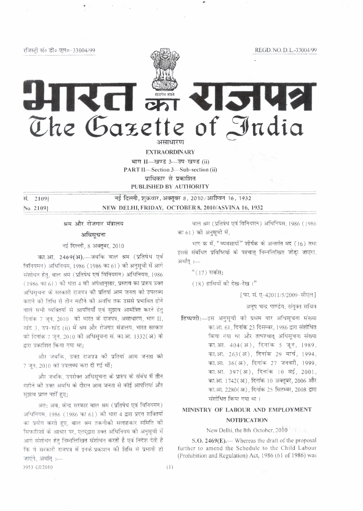रजिस्टी सं० डी० एल०-33004/99

REGD. NO. D. L.-33004/99

REI an RISIUS The Gazette of India असाधारण

**EXTRAORDINARY** 

भाग II-खण्ड 3-उप-खण्ड (ii) PART II-Section 3-Sub-section (ii) पाधिकार से प्रकाशित PUBLISHED BY AUTHORITY

सं. 21091 No. 2109)

नई दिल्ली, शुक्रवार, अक्तूबर 8, 2010/आश्विन 16, 1932 NEW DELHI, FRIDAY, OCTOBER 8, 2010/ASVINA 16, 1932

श्रम और रोजगार मंत्रालय

### अधिसूचना

नई दिल्ली, 8 अक्तूबर, 2010

का.आ. 2469(अ).- जबकि बाल श्रम (प्रतिषेध एवं विनियमन) अधिनियम, 1986 (1986 का 61) की अनुसूची में आगे संशोधन हेतु, बाल श्रम (प्रतिषेध एवं विनियमन) अधिनियम, 1986 (1986 का 61) को धारा 4 की अपेक्षानुसार, प्रस्ताव का प्रारुप उक्त अधिसचना के सरकारी राजपत्र की प्रतियां आम जनता को उपलब्ध कराने की तिथि से तीन महीने की अवधि तक उससे प्रभावित होने वाले सभी व्यक्तियों से आपत्तियाँ एवं सुझाव आमंत्रित करने हेतु दिनांक 7 जून, 2010 को भारत के राजपत्र, असाधारण, भाग II, खंड 3, उप-खंड (ii) में श्रम और रोजगार मंत्रालय, भारत सरकार की दिनांक 7 जन, 2010 की अधिसूचना सं. का.आ. 1332(अ) के द्वारा प्रकाशित किया गया था;

और जबकि, उक्त राजपत्र की प्रतियां आम जनता को 7 जून, 2010 को उपलब्ध करा दी गई थीं;

और जबकि, उपरोक्त अधिसूचना के प्रारुप के संबंध में तीन महीने की उक्त अवधि के दौरान आम जनता से कोई आपत्तियां और सुझाव प्राप्त नहीं हुए;

अत: अब, केन्द्र सरकार बाल श्रम (प्रतिषेध एवं विनियमन) अधिनियम. 1986 (1986 का 61) की धारा 4 द्वारा प्रदत्त शक्तियों का प्रयोग करते हुए, बाल श्रम तकनीकी सलाहकार समिति की सिफारिशों के आधार पर, एतदुद्वारा उक्त अधिनियम की अनुसूची में आगे संशोधन हेतु निम्नलिखित संशोधन करती है एवं निदेश देती है कि ये सरकारी राजपत्र में इनके प्रकाशन की तिथि से प्रभावी हो जाएंगे, अर्थात :---3953 GI/2010

बाल श्रम (प्रतिषेध एवं विनियमन) अधिनियम, 1986 (1986 का 61) की अनुसूची में,

भाग के में, "व्यवसायों" शीर्षक के अन्तर्गत मद (16) तथा इससे संबंधित प्रविष्टियों के पश्चात निम्नलिखित जोड़ा जाएगा, अर्थात :----

" (17) सर्कस:

 $(18)$  हाथियों की देख-रेख।"

[फा. सं. ए-42011/5/2009-सीएल]

अनुप चन्द्र पाण्डेय, संयुक्त सचिव

टिप्पणी:--इस अनुसूची को प्रथम बार अधिसूचना संख्या का.आ. 61, दिनांक 23 दिसम्बर, 1986 द्वारा संशोधित किया गया था और तत्पश्चात् अधिसूचना संख्या का.आ. 404(अ), दिनांक 5 जून, 1989, का.आ. 263(अ), दिनांक 29 मार्च, 1994, का.आ. 36(अ), दिनांक 27 जनवरी, 1999, का.आ. 397(अ), दिनांक 10 मई, 2001, का.आ. 1742(अ), दिनांक 10 अक्तूबर, 2006 और का.आ. 2280(अ), दिनांक 25 सितम्बर, 2008 द्वारा संशोधित किया गया था।

# MINISTRY OF LABOUR AND EMPLOYMENT

## **NOTIFICATION**

New Delhi, the 8th October, 2010

S.O.  $2469(E)$ . Whereas the draft of the proposal further to amend the Schedule to the Child Labour (Prohibition and Regulation) Act, 1986 (61 of 1986) was